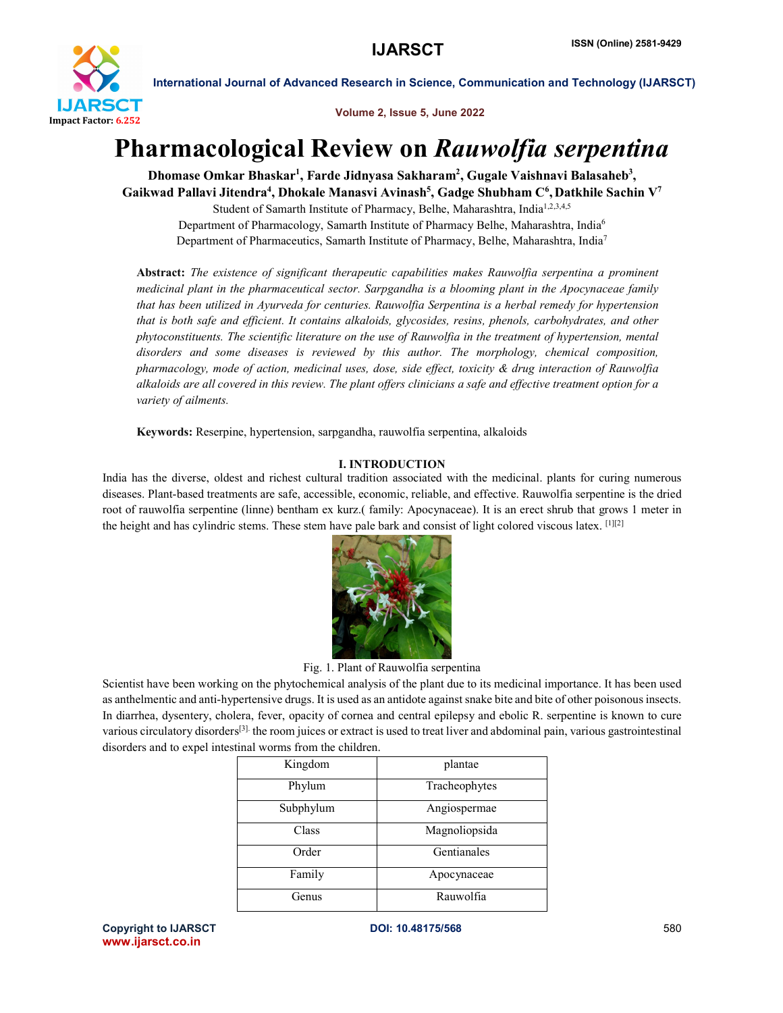

Volume 2, Issue 5, June 2022

# Pharmacological Review on *Rauwolfia serpentina*

Dhomase Omkar Bhaskar<sup>1</sup>, Farde Jidnyasa Sakharam<sup>2</sup>, Gugale Vaishnavi Balasaheb<sup>3</sup>, Gaikwad Pallavi Jitendra<sup>4</sup>, Dhokale Manasvi Avinash<sup>5</sup>, Gadge Shubham C<sup>6</sup>, Datkhile Sachin V<sup>7</sup>

Student of Samarth Institute of Pharmacy, Belhe, Maharashtra, India<sup>1,2,3,4,5</sup> Department of Pharmacology, Samarth Institute of Pharmacy Belhe, Maharashtra, India6 Department of Pharmaceutics, Samarth Institute of Pharmacy, Belhe, Maharashtra, India7

Abstract: *The existence of significant therapeutic capabilities makes Rauwolfia serpentina a prominent medicinal plant in the pharmaceutical sector. Sarpgandha is a blooming plant in the Apocynaceae family that has been utilized in Ayurveda for centuries. Rauwolfia Serpentina is a herbal remedy for hypertension that is both safe and efficient. It contains alkaloids, glycosides, resins, phenols, carbohydrates, and other phytoconstituents. The scientific literature on the use of Rauwolfia in the treatment of hypertension, mental disorders and some diseases is reviewed by this author. The morphology, chemical composition, pharmacology, mode of action, medicinal uses, dose, side effect, toxicity & drug interaction of Rauwolfia alkaloids are all covered in this review. The plant offers clinicians a safe and effective treatment option for a variety of ailments.*

Keywords: Reserpine, hypertension, sarpgandha, rauwolfia serpentina, alkaloids

# I. INTRODUCTION

India has the diverse, oldest and richest cultural tradition associated with the medicinal. plants for curing numerous diseases. Plant-based treatments are safe, accessible, economic, reliable, and effective. Rauwolfia serpentine is the dried root of rauwolfia serpentine (linne) bentham ex kurz.( family: Apocynaceae). It is an erect shrub that grows 1 meter in the height and has cylindric stems. These stem have pale bark and consist of light colored viscous latex. [1][2]



Fig. 1. Plant of Rauwolfia serpentina

Scientist have been working on the phytochemical analysis of the plant due to its medicinal importance. It has been used as anthelmentic and anti-hypertensive drugs. It is used as an antidote against snake bite and bite of other poisonousinsects. In diarrhea, dysentery, cholera, fever, opacity of cornea and central epilepsy and ebolic R. serpentine is known to cure various circulatory disorders[3]. the room juices or extract is used to treat liver and abdominal pain, various gastrointestinal disorders and to expel intestinal worms from the children.

| Kingdom   | plantae       |
|-----------|---------------|
| Phylum    | Tracheophytes |
| Subphylum | Angiospermae  |
| Class     | Magnoliopsida |
| Order     | Gentianales   |
| Family    | Apocynaceae   |
| Genus     | Rauwolfia     |

Copyright to IJARSCT **DOI: 10.48175/568** 580 www.ijarsct.co.in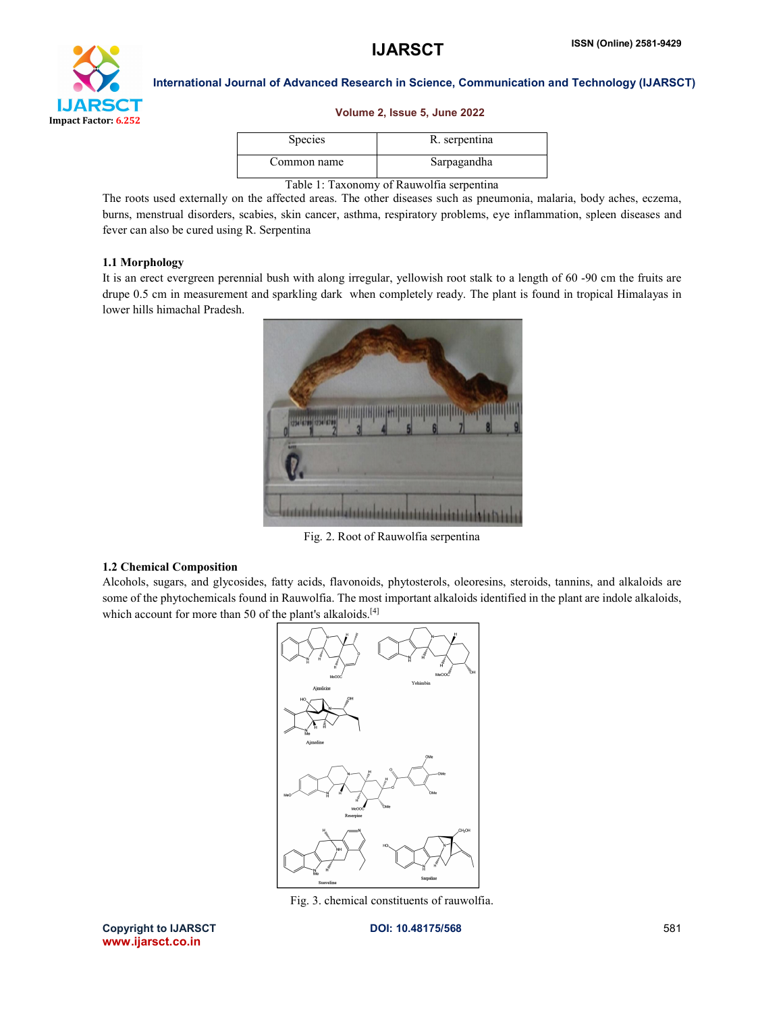

# Volume 2, Issue 5, June 2022

| <b>Species</b> | R. serpentina |
|----------------|---------------|
| Common name    | Sarpagandha   |
|                |               |

Table 1: Taxonomy of Rauwolfia serpentina

The roots used externally on the affected areas. The other diseases such as pneumonia, malaria, body aches, eczema, burns, menstrual disorders, scabies, skin cancer, asthma, respiratory problems, eye inflammation, spleen diseases and fever can also be cured using R. Serpentina

# 1.1 Morphology

It is an erect evergreen perennial bush with along irregular, yellowish root stalk to a length of 60 -90 cm the fruits are drupe 0.5 cm in measurement and sparkling dark when completely ready. The plant is found in tropical Himalayas in lower hills himachal Pradesh.



Fig. 2. Root of Rauwolfia serpentina

# 1.2 Chemical Composition

Alcohols, sugars, and glycosides, fatty acids, flavonoids, phytosterols, oleoresins, steroids, tannins, and alkaloids are some of the phytochemicals found in Rauwolfia. The most important alkaloids identified in the plant are indole alkaloids, which account for more than 50 of the plant's alkaloids.<sup>[4]</sup>



Fig. 3. chemical constituents of rauwolfia.

Copyright to IJARSCT **DOI: 10.48175/568** 581 www.ijarsct.co.in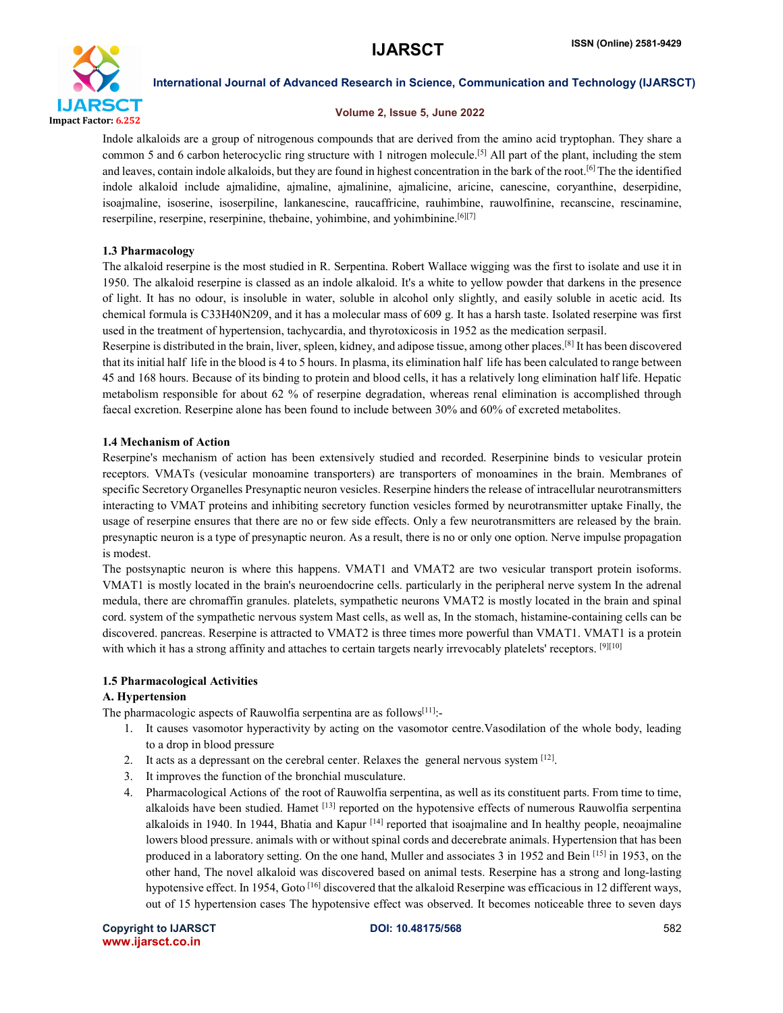

# Volume 2, Issue 5, June 2022

Indole alkaloids are a group of nitrogenous compounds that are derived from the amino acid tryptophan. They share a common 5 and 6 carbon heterocyclic ring structure with 1 nitrogen molecule.<sup>[5]</sup> All part of the plant, including the stem and leaves, contain indole alkaloids, but they are found in highest concentration in the bark of the root.<sup>[6]</sup> The the identified indole alkaloid include ajmalidine, ajmaline, ajmalinine, ajmalicine, aricine, canescine, coryanthine, deserpidine, isoajmaline, isoserine, isoserpiline, lankanescine, raucaffricine, rauhimbine, rauwolfinine, recanscine, rescinamine, reserpiline, reserpine, reserpinine, thebaine, yohimbine, and yohimbinine.<sup>[6][7]</sup>

# 1.3 Pharmacology

The alkaloid reserpine is the most studied in R. Serpentina. Robert Wallace wigging was the first to isolate and use it in 1950. The alkaloid reserpine is classed as an indole alkaloid. It's a white to yellow powder that darkens in the presence of light. It has no odour, is insoluble in water, soluble in alcohol only slightly, and easily soluble in acetic acid. Its chemical formula is C33H40N209, and it has a molecular mass of 609 g. It has a harsh taste. Isolated reserpine was first used in the treatment of hypertension, tachycardia, and thyrotoxicosis in 1952 as the medication serpasil.

Reserpine is distributed in the brain, liver, spleen, kidney, and adipose tissue, among other places.[8] It has been discovered that its initial half life in the blood is 4 to 5 hours. In plasma, its elimination half life has been calculated to range between 45 and 168 hours. Because of its binding to protein and blood cells, it has a relatively long elimination half life. Hepatic metabolism responsible for about 62 % of reserpine degradation, whereas renal elimination is accomplished through faecal excretion. Reserpine alone has been found to include between 30% and 60% of excreted metabolites.

# 1.4 Mechanism of Action

Reserpine's mechanism of action has been extensively studied and recorded. Reserpinine binds to vesicular protein receptors. VMATs (vesicular monoamine transporters) are transporters of monoamines in the brain. Membranes of specific Secretory Organelles Presynaptic neuron vesicles. Reserpine hinders the release of intracellular neurotransmitters interacting to VMAT proteins and inhibiting secretory function vesicles formed by neurotransmitter uptake Finally, the usage of reserpine ensures that there are no or few side effects. Only a few neurotransmitters are released by the brain. presynaptic neuron is a type of presynaptic neuron. As a result, there is no or only one option. Nerve impulse propagation is modest.

The postsynaptic neuron is where this happens. VMAT1 and VMAT2 are two vesicular transport protein isoforms. VMAT1 is mostly located in the brain's neuroendocrine cells. particularly in the peripheral nerve system In the adrenal medula, there are chromaffin granules. platelets, sympathetic neurons VMAT2 is mostly located in the brain and spinal cord. system of the sympathetic nervous system Mast cells, as well as, In the stomach, histamine-containing cells can be discovered. pancreas. Reserpine is attracted to VMAT2 is three times more powerful than VMAT1. VMAT1 is a protein with which it has a strong affinity and attaches to certain targets nearly irrevocably platelets' receptors. [9][10]

# 1.5 Pharmacological Activities

# A. Hypertension

The pharmacologic aspects of Rauwolfia serpentina are as follows<sup>[11]</sup>:-

- 1. It causes vasomotor hyperactivity by acting on the vasomotor centre.Vasodilation of the whole body, leading to a drop in blood pressure
- 2. It acts as a depressant on the cerebral center. Relaxes the general nervous system [12].
- 3. It improves the function of the bronchial musculature.
- 4. Pharmacological Actions of the root of Rauwolfia serpentina, as well as its constituent parts. From time to time, alkaloids have been studied. Hamet [13] reported on the hypotensive effects of numerous Rauwolfia serpentina alkaloids in 1940. In 1944, Bhatia and Kapur <sup>[14]</sup> reported that isoajmaline and In healthy people, neoajmaline lowers blood pressure. animals with or without spinal cords and decerebrate animals. Hypertension that has been produced in a laboratory setting. On the one hand, Muller and associates 3 in 1952 and Bein  $[15]$  in 1953, on the other hand, The novel alkaloid was discovered based on animal tests. Reserpine has a strong and long-lasting hypotensive effect. In 1954, Goto  $[16]$  discovered that the alkaloid Reserpine was efficacious in 12 different ways, out of 15 hypertension cases The hypotensive effect was observed. It becomes noticeable three to seven days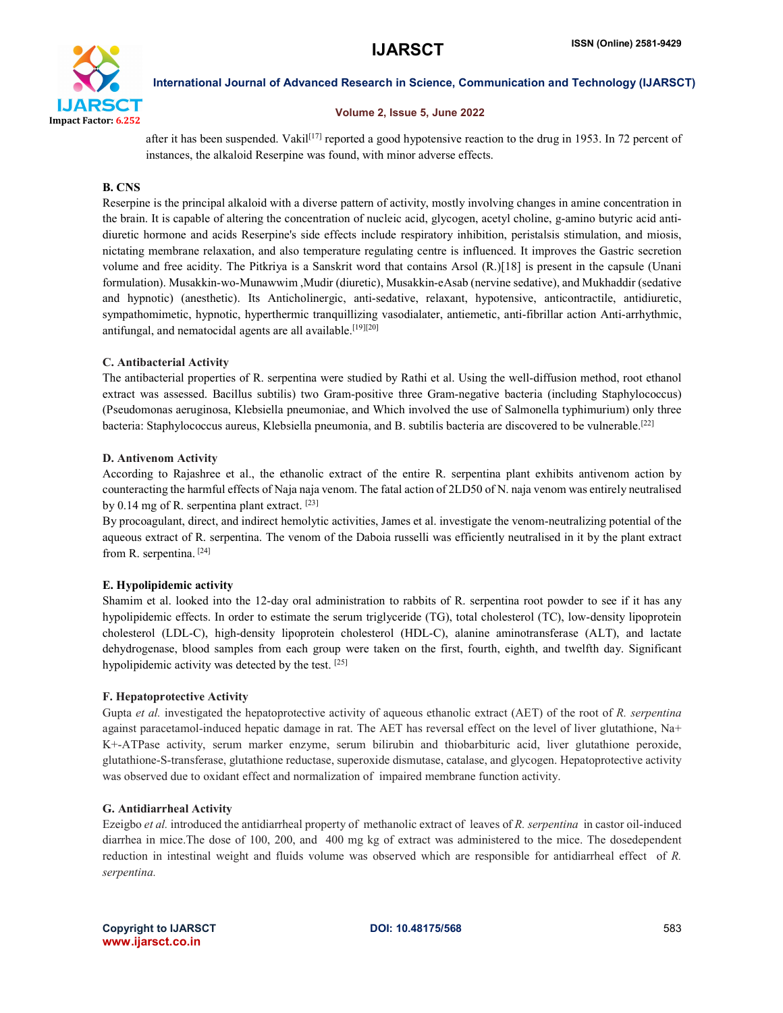

# Volume 2, Issue 5, June 2022

after it has been suspended. Vakil<sup>[17]</sup> reported a good hypotensive reaction to the drug in 1953. In 72 percent of instances, the alkaloid Reserpine was found, with minor adverse effects.

# B. CNS

Reserpine is the principal alkaloid with a diverse pattern of activity, mostly involving changes in amine concentration in the brain. It is capable of altering the concentration of nucleic acid, glycogen, acetyl choline, g-amino butyric acid antidiuretic hormone and acids Reserpine's side effects include respiratory inhibition, peristalsis stimulation, and miosis, nictating membrane relaxation, and also temperature regulating centre is influenced. It improves the Gastric secretion volume and free acidity. The Pitkriya is a Sanskrit word that contains Arsol (R.)[18] is present in the capsule (Unani formulation). Musakkin-wo-Munawwim ,Mudir (diuretic), Musakkin-eAsab (nervine sedative), and Mukhaddir (sedative and hypnotic) (anesthetic). Its Anticholinergic, anti-sedative, relaxant, hypotensive, anticontractile, antidiuretic, sympathomimetic, hypnotic, hyperthermic tranquillizing vasodialater, antiemetic, anti-fibrillar action Anti-arrhythmic, antifungal, and nematocidal agents are all available.<sup>[19][20]</sup>

# C. Antibacterial Activity

The antibacterial properties of R. serpentina were studied by Rathi et al. Using the well-diffusion method, root ethanol extract was assessed. Bacillus subtilis) two Gram-positive three Gram-negative bacteria (including Staphylococcus) (Pseudomonas aeruginosa, Klebsiella pneumoniae, and Which involved the use of Salmonella typhimurium) only three bacteria: Staphylococcus aureus, Klebsiella pneumonia, and B. subtilis bacteria are discovered to be vulnerable.[22]

# D. Antivenom Activity

According to Rajashree et al., the ethanolic extract of the entire R. serpentina plant exhibits antivenom action by counteracting the harmful effects of Naja naja venom. The fatal action of 2LD50 of N. naja venom was entirely neutralised by 0.14 mg of R. serpentina plant extract. [23]

By procoagulant, direct, and indirect hemolytic activities, James et al. investigate the venom-neutralizing potential of the aqueous extract of R. serpentina. The venom of the Daboia russelli was efficiently neutralised in it by the plant extract from R. serpentina. [24]

# E. Hypolipidemic activity

Shamim et al. looked into the 12-day oral administration to rabbits of R. serpentina root powder to see if it has any hypolipidemic effects. In order to estimate the serum triglyceride (TG), total cholesterol (TC), low-density lipoprotein cholesterol (LDL-C), high-density lipoprotein cholesterol (HDL-C), alanine aminotransferase (ALT), and lactate dehydrogenase, blood samples from each group were taken on the first, fourth, eighth, and twelfth day. Significant hypolipidemic activity was detected by the test. [25]

# F. Hepatoprotective Activity

Gupta *et al.* investigated the hepatoprotective activity of aqueous ethanolic extract (AET) of the root of *R. serpentina*  against paracetamol-induced hepatic damage in rat. The AET has reversal effect on the level of liver glutathione, Na+ K+-ATPase activity, serum marker enzyme, serum bilirubin and thiobarbituric acid, liver glutathione peroxide, glutathione-S-transferase, glutathione reductase, superoxide dismutase, catalase, and glycogen. Hepatoprotective activity was observed due to oxidant effect and normalization of impaired membrane function activity.

# G. Antidiarrheal Activity

Ezeigbo *et al.* introduced the antidiarrheal property of methanolic extract of leaves of *R. serpentina* in castor oil-induced diarrhea in mice.The dose of 100, 200, and 400 mg kg of extract was administered to the mice. The dosedependent reduction in intestinal weight and fluids volume was observed which are responsible for antidiarrheal effect of *R. serpentina.*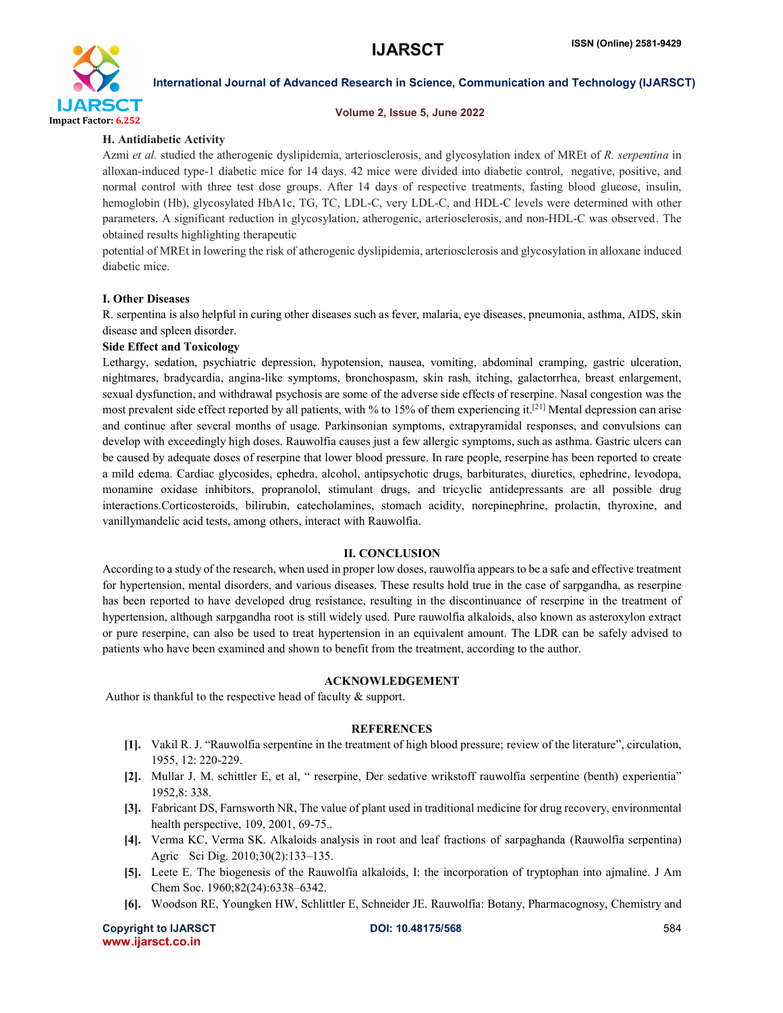

#### Volume 2, Issue 5, June 2022

### H. Antidiabetic Activity

Azmi *et al.* studied the atherogenic dyslipidemia, arteriosclerosis, and glycosylation index of MREt of *R. serpentina* in alloxan-induced type-1 diabetic mice for 14 days. 42 mice were divided into diabetic control, negative, positive, and normal control with three test dose groups. After 14 days of respective treatments, fasting blood glucose, insulin, hemoglobin (Hb), glycosylated HbA1c, TG, TC, LDL-C, very LDL-C, and HDL-C levels were determined with other parameters. A significant reduction in glycosylation, atherogenic, arteriosclerosis, and non-HDL-C was observed . The obtained results highlighting therapeutic

potential of MREt in lowering the risk of atherogenic dyslipidemia, arteriosclerosis and glycosylation in alloxane induced diabetic mice.

### I. Other Diseases

R. serpentina is also helpful in curing other diseases such as fever, malaria, eye diseases, pneumonia, asthma, AIDS, skin disease and spleen disorder.

#### Side Effect and Toxicology

Lethargy, sedation, psychiatric depression, hypotension, nausea, vomiting, abdominal cramping, gastric ulceration, nightmares, bradycardia, angina-like symptoms, bronchospasm, skin rash, itching, galactorrhea, breast enlargement, sexual dysfunction, and withdrawal psychosis are some of the adverse side effects of reserpine. Nasal congestion was the most prevalent side effect reported by all patients, with % to 15% of them experiencing it.<sup>[21]</sup> Mental depression can arise and continue after several months of usage. Parkinsonian symptoms, extrapyramidal responses, and convulsions can develop with exceedingly high doses. Rauwolfia causes just a few allergic symptoms, such as asthma. Gastric ulcers can be caused by adequate doses of reserpine that lower blood pressure. In rare people, reserpine has been reported to create a mild edema. Cardiac glycosides, ephedra, alcohol, antipsychotic drugs, barbiturates, diuretics, ephedrine, levodopa, monamine oxidase inhibitors, propranolol, stimulant drugs, and tricyclic antidepressants are all possible drug interactions.Corticosteroids, bilirubin, catecholamines, stomach acidity, norepinephrine, prolactin, thyroxine, and vanillymandelic acid tests, among others, interact with Rauwolfia.

#### II. CONCLUSION

According to a study of the research, when used in proper low doses, rauwolfia appears to be a safe and effective treatment for hypertension, mental disorders, and various diseases. These results hold true in the case of sarpgandha, as reserpine has been reported to have developed drug resistance, resulting in the discontinuance of reserpine in the treatment of hypertension, although sarpgandha root is still widely used. Pure rauwolfia alkaloids, also known as asteroxylon extract or pure reserpine, can also be used to treat hypertension in an equivalent amount. The LDR can be safely advised to patients who have been examined and shown to benefit from the treatment, according to the author.

#### ACKNOWLEDGEMENT

Author is thankful to the respective head of faculty & support.

#### **REFERENCES**

- [1]. Vakil R. J. "Rauwolfia serpentine in the treatment of high blood pressure; review of the literature", circulation, 1955, 12: 220-229.
- [2]. Mullar J. M. schittler E, et al, " reserpine, Der sedative wrikstoff rauwolfia serpentine (benth) experientia" 1952,8: 338.
- [3]. Fabricant DS, Farnsworth NR, The value of plant used in traditional medicine for drug recovery, environmental health perspective, 109, 2001, 69-75..
- [4]. Verma KC, Verma SK. Alkaloids analysis in root and leaf fractions of sarpaghanda (Rauwolfia serpentina) Agric Sci Dig. 2010;30(2):133–135.
- [5]. Leete E. The biogenesis of the Rauwolfia alkaloids, I: the incorporation of tryptophan into ajmaline. J Am Chem Soc. 1960;82(24):6338–6342.
- [6]. Woodson RE, Youngken HW, Schlittler E, Schneider JE. Rauwolfia: Botany, Pharmacognosy, Chemistry and